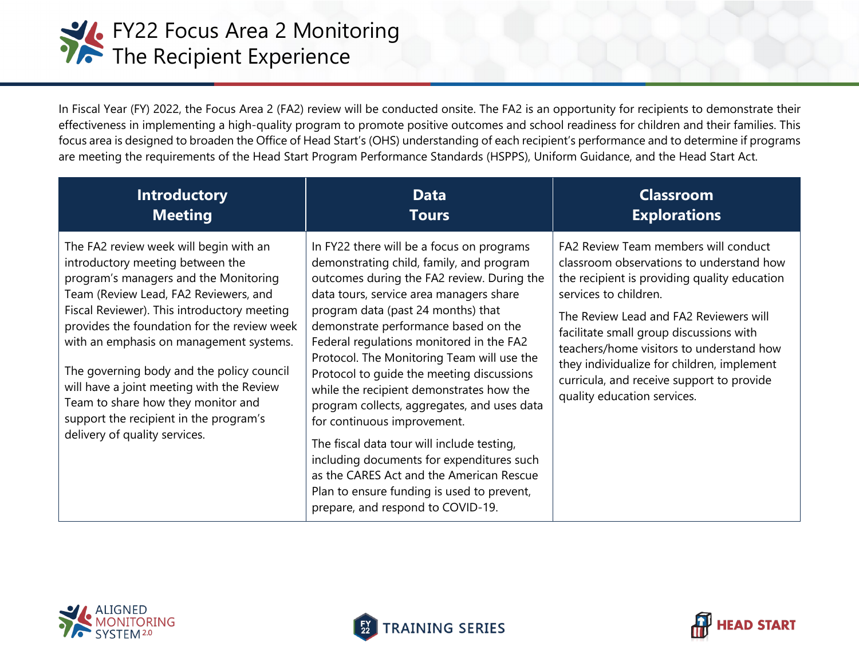

In Fiscal Year (FY) 2022, the Focus Area 2 (FA2) review will be conducted onsite. The FA2 is an opportunity for recipients to demonstrate their effectiveness in implementing a high-quality program to promote positive outcomes and school readiness for children and their families. This focus area is designed to broaden the Office of Head Start's (OHS) understanding of each recipient's performance and to determine if programs are meeting the requirements of the Head Start Program Performance Standards (HSPPS), Uniform Guidance, and the Head Start Act.

| <b>Introductory</b>                                                                                                                                                                                                                                                                                                                                                                                                                                                                                              | <b>Data</b>                                                                                                                                                                                                                                                                                                                                                                                                                                                                                                                                                                                                                                                                                                                                             | <b>Classroom</b>                                                                                                                                                                                                                                                                                                                                                                                                     |
|------------------------------------------------------------------------------------------------------------------------------------------------------------------------------------------------------------------------------------------------------------------------------------------------------------------------------------------------------------------------------------------------------------------------------------------------------------------------------------------------------------------|---------------------------------------------------------------------------------------------------------------------------------------------------------------------------------------------------------------------------------------------------------------------------------------------------------------------------------------------------------------------------------------------------------------------------------------------------------------------------------------------------------------------------------------------------------------------------------------------------------------------------------------------------------------------------------------------------------------------------------------------------------|----------------------------------------------------------------------------------------------------------------------------------------------------------------------------------------------------------------------------------------------------------------------------------------------------------------------------------------------------------------------------------------------------------------------|
| <b>Meeting</b>                                                                                                                                                                                                                                                                                                                                                                                                                                                                                                   | <b>Tours</b>                                                                                                                                                                                                                                                                                                                                                                                                                                                                                                                                                                                                                                                                                                                                            | <b>Explorations</b>                                                                                                                                                                                                                                                                                                                                                                                                  |
| The FA2 review week will begin with an<br>introductory meeting between the<br>program's managers and the Monitoring<br>Team (Review Lead, FA2 Reviewers, and<br>Fiscal Reviewer). This introductory meeting<br>provides the foundation for the review week<br>with an emphasis on management systems.<br>The governing body and the policy council<br>will have a joint meeting with the Review<br>Team to share how they monitor and<br>support the recipient in the program's<br>delivery of quality services. | In FY22 there will be a focus on programs<br>demonstrating child, family, and program<br>outcomes during the FA2 review. During the<br>data tours, service area managers share<br>program data (past 24 months) that<br>demonstrate performance based on the<br>Federal regulations monitored in the FA2<br>Protocol. The Monitoring Team will use the<br>Protocol to guide the meeting discussions<br>while the recipient demonstrates how the<br>program collects, aggregates, and uses data<br>for continuous improvement.<br>The fiscal data tour will include testing,<br>including documents for expenditures such<br>as the CARES Act and the American Rescue<br>Plan to ensure funding is used to prevent,<br>prepare, and respond to COVID-19. | FA2 Review Team members will conduct<br>classroom observations to understand how<br>the recipient is providing quality education<br>services to children.<br>The Review Lead and FA2 Reviewers will<br>facilitate small group discussions with<br>teachers/home visitors to understand how<br>they individualize for children, implement<br>curricula, and receive support to provide<br>quality education services. |